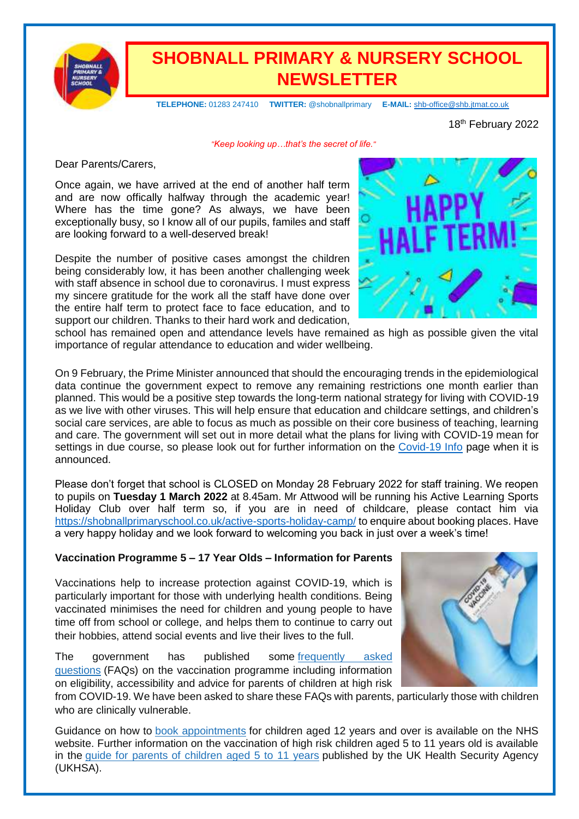

## **SHOBNALL PRIMARY & NURSERY SCHOOL NEWSLETTER**

 **TELEPHONE:** 01283 247410 **TWITTER:** @shobnallprimary **E-MAIL:** [shb-office@shb.jtmat.co.uk](mailto:shb-office@shb.jtmat.co.uk)

18<sup>th</sup> February 2022

*"Keep looking up…that's the secret of life."*

Dear Parents/Carers,

Once again, we have arrived at the end of another half term and are now offically halfway through the academic year! Where has the time gone? As always, we have been exceptionally busy, so I know all of our pupils, familes and staff are looking forward to a well-deserved break!

Despite the number of positive cases amongst the children being considerably low, it has been another challenging week with staff absence in school due to coronavirus. I must express my sincere gratitude for the work all the staff have done over the entire half term to protect face to face education, and to support our children. Thanks to their hard work and dedication,



school has remained open and attendance levels have remained as high as possible given the vital importance of regular attendance to education and wider wellbeing.

On 9 February, the Prime Minister announced that should the encouraging trends in the epidemiological data continue the government expect to remove any remaining restrictions one month earlier than planned. This would be a positive step towards the long-term national strategy for living with COVID-19 as we live with other viruses. This will help ensure that education and childcare settings, and children's social care services, are able to focus as much as possible on their core business of teaching, learning and care. The government will set out in more detail what the plans for living with COVID-19 mean for settings in due course, so please look out for further information on the [Covid-19 Info](https://shobnallprimaryschool.co.uk/covid-19/) page when it is announced.

Please don't forget that school is CLOSED on Monday 28 February 2022 for staff training. We reopen to pupils on **Tuesday 1 March 2022** at 8.45am. Mr Attwood will be running his Active Learning Sports Holiday Club over half term so, if you are in need of childcare, please contact him via <https://shobnallprimaryschool.co.uk/active-sports-holiday-camp/> to enquire about booking places. Have a very happy holiday and we look forward to welcoming you back in just over a week's time!

#### **Vaccination Programme 5 – 17 Year Olds – Information for Parents**

Vaccinations help to increase protection against COVID-19, which is particularly important for those with underlying health conditions. Being vaccinated minimises the need for children and young people to have time off from school or college, and helps them to continue to carry out their hobbies, attend social events and live their lives to the full.

The government has published some [frequently](https://educationhub.blog.gov.uk/2022/02/11/vaccinations-for-clinically-vulnerable-children-and-young-people-your-questions-answered/?utm_source=16%20February%202022%20C19&utm_medium=Daily%20Email%20C19&utm_campaign=DfE%20C19) asked [questions](https://educationhub.blog.gov.uk/2022/02/11/vaccinations-for-clinically-vulnerable-children-and-young-people-your-questions-answered/?utm_source=16%20February%202022%20C19&utm_medium=Daily%20Email%20C19&utm_campaign=DfE%20C19) (FAQs) on the vaccination programme including information on eligibility, accessibility and advice for parents of children at high risk



from COVID-19. We have been asked to share these FAQs with parents, particularly those with children who are clinically vulnerable.

Guidance on how to book [appointments](https://www.nhs.uk/conditions/coronavirus-covid-19/coronavirus-vaccination/book-coronavirus-vaccination/?utm_source=16%20February%202022%20C19&utm_medium=Daily%20Email%20C19&utm_campaign=DfE%20C19) for children aged 12 years and over is available on the NHS website. Further information on the vaccination of high risk children aged 5 to 11 years old is available in the guide for parents of [children](https://www.gov.uk/government/publications/covid-19-vaccination-resources-for-children-aged-5-to-11-years/a-guide-for-parents-of-children-aged-5-to-11-years-of-age-at-high-risk?utm_source=16%20February%202022%20C19&utm_medium=Daily%20Email%20C19&utm_campaign=DfE%20C19#how-to-book-your-appointment/) aged 5 to 11 years published by the UK Health Security Agency (UKHSA).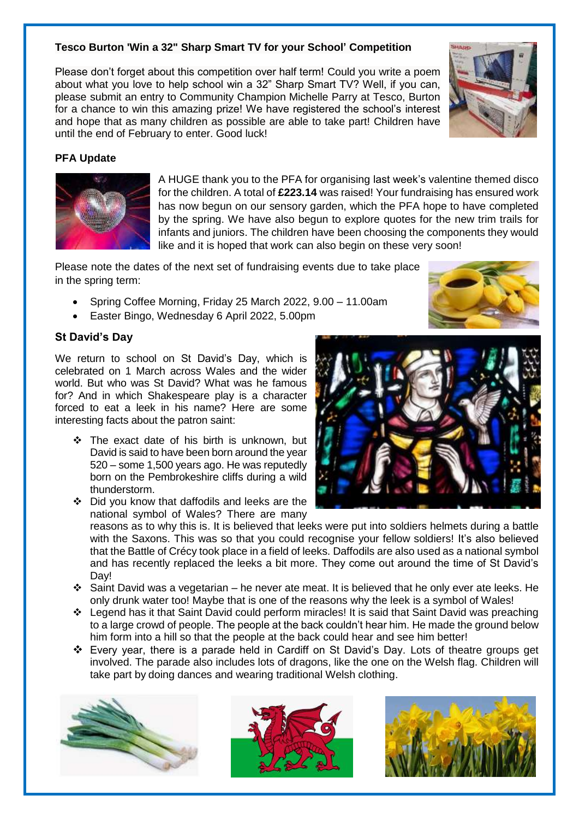#### **Tesco Burton 'Win a 32" Sharp Smart TV for your School' Competition**

Please don't forget about this competition over half term! Could you write a poem about what you love to help school win a 32" Sharp Smart TV? Well, if you can, please submit an entry to Community Champion Michelle Parry at Tesco, Burton for a chance to win this amazing prize! We have registered the school's interest and hope that as many children as possible are able to take part! Children have until the end of February to enter. Good luck!





A HUGE thank you to the PFA for organising last week's valentine themed disco for the children. A total of **£223.14** was raised! Your fundraising has ensured work has now begun on our sensory garden, which the PFA hope to have completed by the spring. We have also begun to explore quotes for the new trim trails for infants and juniors. The children have been choosing the components they would like and it is hoped that work can also begin on these very soon!

Please note the dates of the next set of fundraising events due to take place in the spring term:

- Spring Coffee Morning, Friday 25 March 2022, 9.00 11.00am
- Easter Bingo, Wednesday 6 April 2022, 5.00pm

#### **St David's Day**

We return to school on St David's Day, which is celebrated on 1 March across Wales and the wider world. But who was St David? What was he famous for? And in which Shakespeare play is a character forced to eat a leek in his name? Here are some interesting facts about the patron saint:

The exact date of his birth is unknown, but David is said to have been born around the year 520 – some 1,500 years ago. He was reputedly born on the Pembrokeshire cliffs during a wild thunderstorm.



 Did you know that daffodils and leeks are the national symbol of Wales? There are many

reasons as to why this is. It is believed that leeks were put into soldiers helmets during a battle with the Saxons. This was so that you could recognise your fellow soldiers! It's also believed that the Battle of Crécy took place in a field of leeks. Daffodils are also used as a national symbol and has recently replaced the leeks a bit more. They come out around the time of St David's Day!

- Saint David was a vegetarian he never ate meat. It is believed that he only ever ate leeks. He only drunk water too! Maybe that is one of the reasons why the leek is a symbol of Wales!
- Legend has it that Saint David could perform miracles! It is said that Saint David was preaching to a large crowd of people. The people at the back couldn't hear him. He made the ground below him form into a hill so that the people at the back could hear and see him better!
- Every year, there is a parade held in Cardiff on St David's Day. Lots of theatre groups get involved. The parade also includes lots of dragons, like the one on the Welsh flag. Children will take part by doing dances and wearing traditional Welsh clothing.









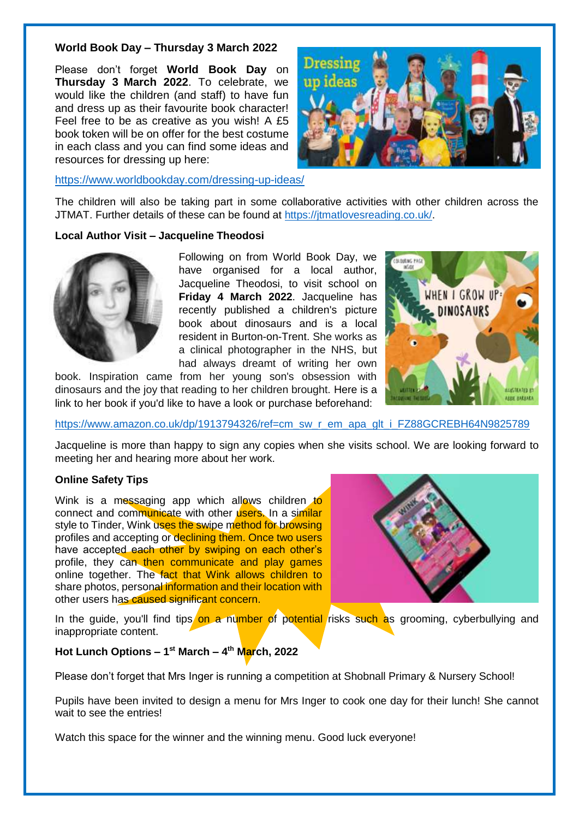#### **World Book Day – Thursday 3 March 2022**

Please don't forget **World Book Day** on **Thursday 3 March 2022**. To celebrate, we would like the children (and staff) to have fun and dress up as their favourite book character! Feel free to be as creative as you wish! A £5 book token will be on offer for the best costume in each class and you can find some ideas and resources for dressing up here:



<https://www.worldbookday.com/dressing-up-ideas/>

The children will also be taking part in some collaborative activities with other children across the JTMAT. Further details of these can be found at [https://jtmatlovesreading.co.uk/.](https://jtmatlovesreading.co.uk/)

#### **Local Author Visit – Jacqueline Theodosi**



Following on from World Book Day, we have organised for a local author, Jacqueline Theodosi, to visit school on **Friday 4 March 2022**. Jacqueline has recently published a children's picture book about dinosaurs and is a local resident in Burton-on-Trent. She works as a clinical photographer in the NHS, but had always dreamt of writing her own

book. Inspiration came from her young son's obsession with dinosaurs and the joy that reading to her children brought. Here is a link to her book if you'd like to have a look or purchase beforehand:



[https://www.amazon.co.uk/dp/1913794326/ref=cm\\_sw\\_r\\_em\\_apa\\_glt\\_i\\_FZ88GCREBH64N9825789](https://www.amazon.co.uk/dp/1913794326/ref=cm_sw_r_em_apa_glt_i_FZ88GCREBH64N9825789)

Jacqueline is more than happy to sign any copies when she visits school. We are looking forward to meeting her and hearing more about her work.

#### **Online Safety Tips**

Wink is a messaging app which allows children to connect and communicate with other users. In a similar style to Tinder, Wink uses the swipe method for browsing profiles and accepting or declining them. Once two users have accepted each other by swiping on each other's profile, they can then communicate and play games online together. The fact that Wink allows children to share photos, personal information and their location with other users has caused significant concern.



In the guide, you'll find tips on a number of potential risks such as grooming, cyberbullying and inappropriate content.

#### **Hot Lunch Options – 1 st March – 4 th March, 2022**

Please don't forget that Mrs Inger is running a competition at Shobnall Primary & Nursery School!

Pupils have been invited to design a menu for Mrs Inger to cook one day for their lunch! She cannot wait to see the entries!

Watch this space for the winner and the winning menu. Good luck everyone!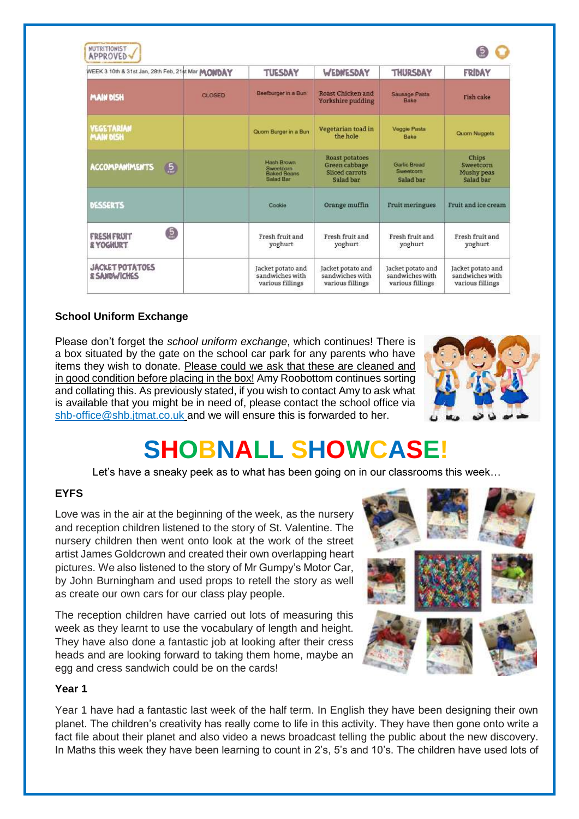| WEEK 3 10th & 31st Jan, 28th Feb, 21st Mar MONDAY        |               | <b>TUESDAY</b>                                                                  | WEDNESDAY                                                             | THURSDAY                                                 | FRIDAY                                                   |
|----------------------------------------------------------|---------------|---------------------------------------------------------------------------------|-----------------------------------------------------------------------|----------------------------------------------------------|----------------------------------------------------------|
| <b>MAIN DISH</b>                                         | <b>GLOSED</b> | Beefburger in a Bun                                                             | Roast Chicken and<br>Yorkshire pudding                                | Sausage Pasta<br>Bake                                    | Fish cake                                                |
| <b>VEGETARIAN</b><br><b>MAIN DISH</b>                    |               | Quom Burger in a Bun                                                            | Vegetarian toad in<br>the hole                                        | <b>Veggie Pasta</b><br>Bake                              | Quom Nuggets                                             |
| <b>ACCOMPANIMENTS</b><br>$\left(5\right)$                |               | <b>Hash Brown</b><br><b>Sweetcorn</b><br><b>Baked Beans</b><br><b>Salad Bar</b> | <b>Roast potatoes</b><br>Green cabbage<br>Sliced carrots<br>Salad bar | <b>Gartic Bread</b><br>Sweetcorn<br>Salad bar            | Chips<br><b>Sweetcorn</b><br>Mushy peas<br>Salad bar     |
| <b>DESSERTS</b>                                          |               | Cookie                                                                          | Orange muffin                                                         | Fruit meringues                                          | Fruit and ice cream                                      |
| Q<br><b>FRESH FRUIT</b><br><b>&amp; YOGHURT</b>          |               | Fresh fruit and<br>yoghurt                                                      | Fresh fruit and<br>yoghurt                                            | Fresh fruit and<br>yoghurt                               | Fresh fruit and<br>yoghurt                               |
| <b>JACKET POTATOES</b><br><b><i>&amp; SANDWICHES</i></b> |               | Jacket potato and<br>sandwiches with<br>various fillings                        | Jacket potato and<br>sandwiches with<br>various fillings              | Jacket potato and<br>sandwiches with<br>various fillings | Jacket potato and<br>sandwiches with<br>various fillings |

#### **School Uniform Exchange**

Please don't forget the *school uniform exchange*, which continues! There is a box situated by the gate on the school car park for any parents who have items they wish to donate. Please could we ask that these are cleaned and in good condition before placing in the box! Amy Roobottom continues sorting and collating this. As previously stated, if you wish to contact Amy to ask what is available that you might be in need of, please contact the school office via [shb-office@shb.jtmat.co.uk](mailto:shb-office@shb.jtmat.co.uk) and we will ensure this is forwarded to her.



# **SHOBNALL SHOWCASE!**

Let's have a sneaky peek as to what has been going on in our classrooms this week…

#### **EYFS**

Love was in the air at the beginning of the week, as the nursery and reception children listened to the story of St. Valentine. The nursery children then went onto look at the work of the street artist James Goldcrown and created their own overlapping heart pictures. We also listened to the story of Mr Gumpy's Motor Car, by John Burningham and used props to retell the story as well as create our own cars for our class play people.

The reception children have carried out lots of measuring this week as they learnt to use the vocabulary of length and height. They have also done a fantastic job at looking after their cress heads and are looking forward to taking them home, maybe an egg and cress sandwich could be on the cards!



#### **Year 1**

Year 1 have had a fantastic last week of the half term. In English they have been designing their own planet. The children's creativity has really come to life in this activity. They have then gone onto write a fact file about their planet and also video a news broadcast telling the public about the new discovery. In Maths this week they have been learning to count in 2's, 5's and 10's. The children have used lots of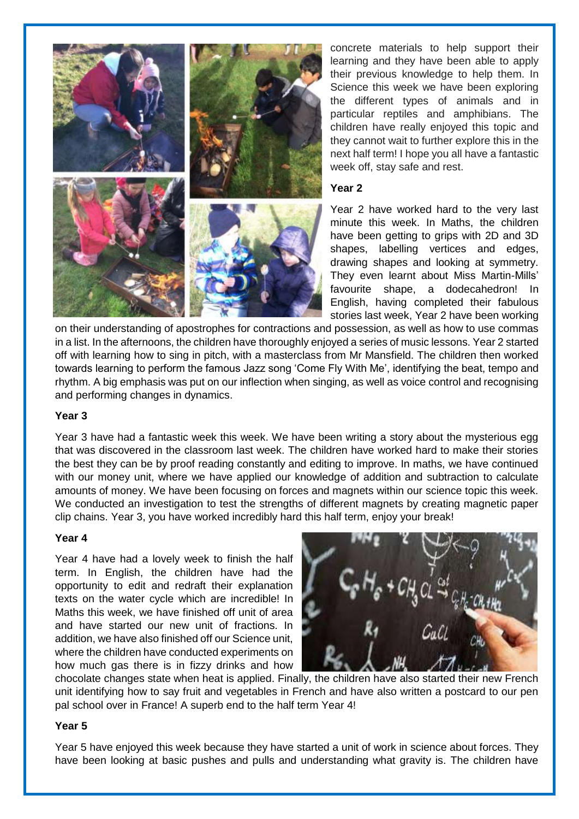

concrete materials to help support their learning and they have been able to apply their previous knowledge to help them. In Science this week we have been exploring the different types of animals and in particular reptiles and amphibians. The children have really enjoyed this topic and they cannot wait to further explore this in the next half term! I hope you all have a fantastic week off, stay safe and rest.

#### **Year 2**

Year 2 have worked hard to the very last minute this week. In Maths, the children have been getting to grips with 2D and 3D shapes, labelling vertices and edges, drawing shapes and looking at symmetry. They even learnt about Miss Martin-Mills' favourite shape, a dodecahedron! In English, having completed their fabulous stories last week, Year 2 have been working

on their understanding of apostrophes for contractions and possession, as well as how to use commas in a list. In the afternoons, the children have thoroughly enjoyed a series of music lessons. Year 2 started off with learning how to sing in pitch, with a masterclass from Mr Mansfield. The children then worked towards learning to perform the famous Jazz song 'Come Fly With Me', identifying the beat, tempo and rhythm. A big emphasis was put on our inflection when singing, as well as voice control and recognising and performing changes in dynamics.

#### **Year 3**

Year 3 have had a fantastic week this week. We have been writing a story about the mysterious egg that was discovered in the classroom last week. The children have worked hard to make their stories the best they can be by proof reading constantly and editing to improve. In maths, we have continued with our money unit, where we have applied our knowledge of addition and subtraction to calculate amounts of money. We have been focusing on forces and magnets within our science topic this week. We conducted an investigation to test the strengths of different magnets by creating magnetic paper clip chains. Year 3, you have worked incredibly hard this half term, enjoy your break!

#### **Year 4**

Year 4 have had a lovely week to finish the half term. In English, the children have had the opportunity to edit and redraft their explanation texts on the water cycle which are incredible! In Maths this week, we have finished off unit of area and have started our new unit of fractions. In addition, we have also finished off our Science unit, where the children have conducted experiments on how much gas there is in fizzy drinks and how



chocolate changes state when heat is applied. Finally, the children have also started their new French unit identifying how to say fruit and vegetables in French and have also written a postcard to our pen pal school over in France! A superb end to the half term Year 4!

#### **Year 5**

Year 5 have enjoyed this week because they have started a unit of work in science about forces. They have been looking at basic pushes and pulls and understanding what gravity is. The children have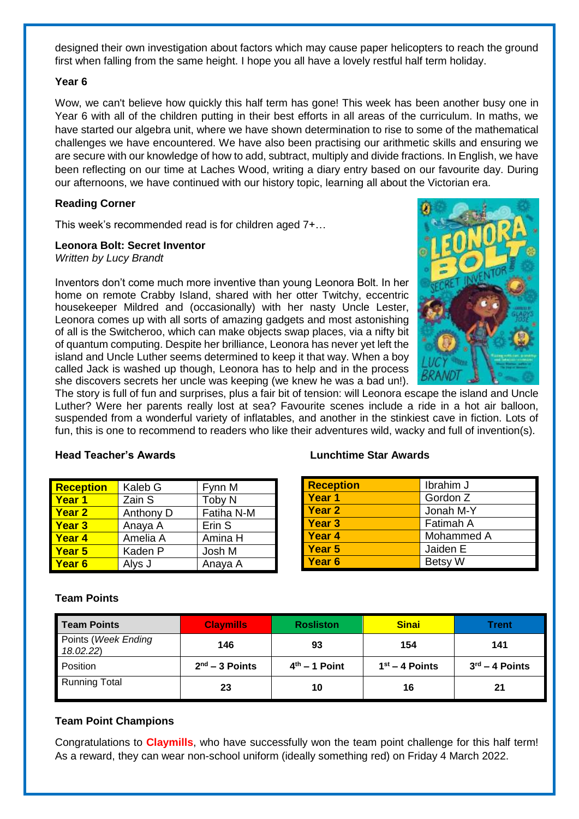designed their own investigation about factors which may cause paper helicopters to reach the ground first when falling from the same height. I hope you all have a lovely restful half term holiday.

#### **Year 6**

Wow, we can't believe how quickly this half term has gone! This week has been another busy one in Year 6 with all of the children putting in their best efforts in all areas of the curriculum. In maths, we have started our algebra unit, where we have shown determination to rise to some of the mathematical challenges we have encountered. We have also been practising our arithmetic skills and ensuring we are secure with our knowledge of how to add, subtract, multiply and divide fractions. In English, we have been reflecting on our time at Laches Wood, writing a diary entry based on our favourite day. During our afternoons, we have continued with our history topic, learning all about the Victorian era.

#### **Reading Corner**

This week's recommended read is for children aged 7+…

#### **Leonora Bolt: Secret Inventor**

*Written by Lucy Brandt*

Inventors don't come much more inventive than young Leonora Bolt. In her home on remote Crabby Island, shared with her otter Twitchy, eccentric housekeeper Mildred and (occasionally) with her nasty Uncle Lester, Leonora comes up with all sorts of amazing gadgets and most astonishing of all is the Switcheroo, which can make objects swap places, via a nifty bit of quantum computing. Despite her brilliance, Leonora has never yet left the island and Uncle Luther seems determined to keep it that way. When a boy called Jack is washed up though, Leonora has to help and in the process she discovers secrets her uncle was keeping (we knew he was a bad un!).



The story is full of fun and surprises, plus a fair bit of tension: will Leonora escape the island and Uncle Luther? Were her parents really lost at sea? Favourite scenes include a ride in a hot air balloon, suspended from a wonderful variety of inflatables, and another in the stinkiest cave in fiction. Lots of fun, this is one to recommend to readers who like their adventures wild, wacky and full of invention(s).

**Reception** Kaleb G Fynn M **Year 1** Zain S Toby N **Year 2** Anthony D Fatiha N-M **Year 3** Anaya A Frin S **Year 4** Amelia A Amina H **Year 5** Kaden P Josh M **Year 6** Alys J **Anava A** 

#### **Head Teacher's Awards Lunchtime Star Awards**

| <b>Reception</b>  | Ibrahim J      |
|-------------------|----------------|
| Year <sub>1</sub> | Gordon Z       |
| <b>Year 2</b>     | Jonah M-Y      |
| <b>Year 3</b>     | Fatimah A      |
| Year <sub>4</sub> | Mohammed A     |
| Year 5            | Jaiden E       |
| Year <sub>6</sub> | <b>Betsy W</b> |

#### **Team Points**

| Team Points                     | <b>Claymills</b> | <b>Rosliston</b> | <b>Sinai</b>     | Trent                      |
|---------------------------------|------------------|------------------|------------------|----------------------------|
| Points (Week Ending<br>18.02.22 | 146              | 93               | 154              | 141                        |
| Position                        | $2nd - 3$ Points | $4th - 1$ Point  | $1st - 4$ Points | $3^{\text{rd}} - 4$ Points |
| <b>Running Total</b>            | 23               | 10               | 16               | 21                         |

#### **Team Point Champions**

Congratulations to **Claymills**, who have successfully won the team point challenge for this half term! As a reward, they can wear non-school uniform (ideally something red) on Friday 4 March 2022.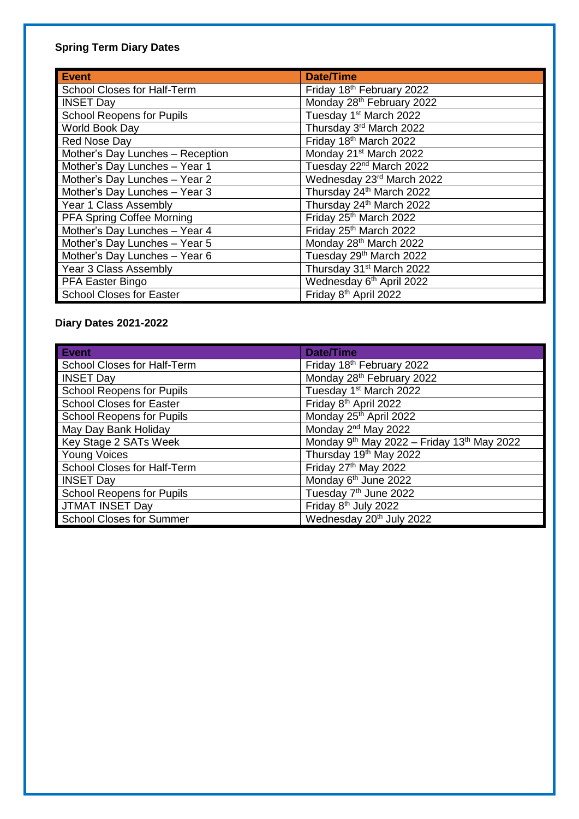#### **Spring Term Diary Dates**

| <b>Event</b>                       | <b>Date/Time</b>                     |
|------------------------------------|--------------------------------------|
| <b>School Closes for Half-Term</b> | Friday 18th February 2022            |
| <b>INSET Day</b>                   | Monday 28th February 2022            |
| <b>School Reopens for Pupils</b>   | Tuesday 1st March 2022               |
| World Book Day                     | Thursday 3 <sup>rd</sup> March 2022  |
| Red Nose Day                       | Friday 18th March 2022               |
| Mother's Day Lunches - Reception   | Monday 21 <sup>st</sup> March 2022   |
| Mother's Day Lunches - Year 1      | Tuesday 22 <sup>nd</sup> March 2022  |
| Mother's Day Lunches - Year 2      | Wednesday 23rd March 2022            |
| Mother's Day Lunches - Year 3      | Thursday 24 <sup>th</sup> March 2022 |
| Year 1 Class Assembly              | Thursday 24 <sup>th</sup> March 2022 |
| <b>PFA Spring Coffee Morning</b>   | Friday 25th March 2022               |
| Mother's Day Lunches - Year 4      | Friday 25 <sup>th</sup> March 2022   |
| Mother's Day Lunches - Year 5      | Monday 28th March 2022               |
| Mother's Day Lunches - Year 6      | Tuesday 29th March 2022              |
| Year 3 Class Assembly              | Thursday 31st March 2022             |
| PFA Easter Bingo                   | Wednesday 6 <sup>th</sup> April 2022 |
| <b>School Closes for Easter</b>    | Friday 8 <sup>th</sup> April 2022    |

#### **Diary Dates 2021-2022**

| <b>Event</b>                     | <b>Date/Time</b>                           |
|----------------------------------|--------------------------------------------|
| School Closes for Half-Term      | Friday 18th February 2022                  |
| <b>INSET Day</b>                 | Monday 28th February 2022                  |
| <b>School Reopens for Pupils</b> | Tuesday 1 <sup>st</sup> March 2022         |
| <b>School Closes for Easter</b>  | Friday 8 <sup>th</sup> April 2022          |
| <b>School Reopens for Pupils</b> | Monday 25th April 2022                     |
| May Day Bank Holiday             | Monday 2 <sup>nd</sup> May 2022            |
| Key Stage 2 SATs Week            | Monday 9th May 2022 - Friday 13th May 2022 |
| <b>Young Voices</b>              | Thursday 19 <sup>th</sup> May 2022         |
| School Closes for Half-Term      | Friday 27th May 2022                       |
| <b>INSET Day</b>                 | Monday 6 <sup>th</sup> June 2022           |
| <b>School Reopens for Pupils</b> | Tuesday 7 <sup>th</sup> June 2022          |
| <b>JTMAT INSET Day</b>           | Friday 8 <sup>th</sup> July 2022           |
| <b>School Closes for Summer</b>  | Wednesday 20 <sup>th</sup> July 2022       |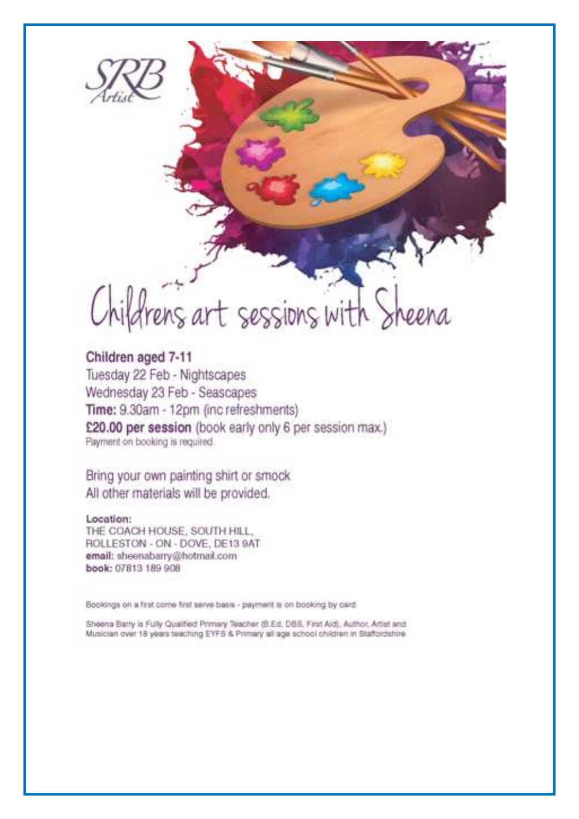

# Childrens art sessions with Sheena

#### Children aged 7-11 Tuesday 22 Feb - Nightscapes Wednesday 23 Feb - Seascapes Time: 9.30am - 12pm (inc refreshments) £20.00 per session (book early only 6 per session max.) Payment on booking is required.

Bring your own painting shirt or smock All other materials will be provided.

Location: THE COACH HOUSE, SOUTH HILL. ROLLESTON - ON - DOVE, DE13 9AT email: sheenabarry@hotmail.com book: 07813 189 908

Bookings on a first come first serve basis - payment is on booking by card.

Sheena Barry is Fully Qualified Primary Teacher (B.Ed. DBS, First Aid), Author, Artist and Musician over 18 years teaching EYFS & Primary all age school children in Statfordshire